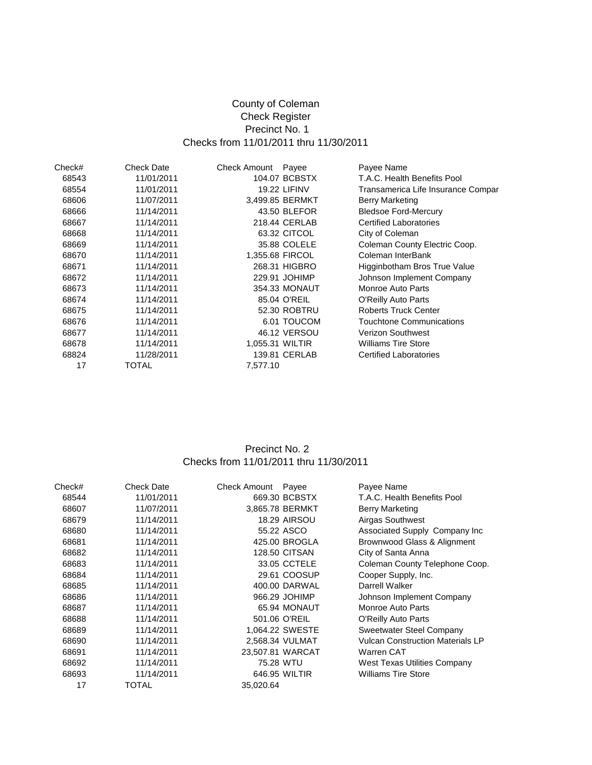# County of Coleman Check Register Precinct No. 1 Checks from 11/01/2011 thru 11/30/2011

| Check# | Check Date | <b>Check Amount</b> | Payee               | Payee Name                         |
|--------|------------|---------------------|---------------------|------------------------------------|
| 68543  | 11/01/2011 |                     | 104.07 BCBSTX       | T.A.C. Health Benefits Pool        |
| 68554  | 11/01/2011 |                     | <b>19.22 LIFINV</b> | Transamerica Life Insurance Compar |
| 68606  | 11/07/2011 |                     | 3,499.85 BERMKT     | <b>Berry Marketing</b>             |
| 68666  | 11/14/2011 |                     | 43.50 BLEFOR        | <b>Bledsoe Ford-Mercury</b>        |
| 68667  | 11/14/2011 |                     | 218.44 CERLAB       | <b>Certified Laboratories</b>      |
| 68668  | 11/14/2011 |                     | 63.32 CITCOL        | City of Coleman                    |
| 68669  | 11/14/2011 |                     | 35.88 COLELE        | Coleman County Electric Coop.      |
| 68670  | 11/14/2011 |                     | 1,355.68 FIRCOL     | Coleman InterBank                  |
| 68671  | 11/14/2011 |                     | 268.31 HIGBRO       | Higginbotham Bros True Value       |
| 68672  | 11/14/2011 |                     | 229.91 JOHIMP       | Johnson Implement Company          |
| 68673  | 11/14/2011 |                     | 354.33 MONAUT       | Monroe Auto Parts                  |
| 68674  | 11/14/2011 |                     | 85.04 O'REIL        | O'Reilly Auto Parts                |
| 68675  | 11/14/2011 |                     | 52.30 ROBTRU        | <b>Roberts Truck Center</b>        |
| 68676  | 11/14/2011 |                     | 6.01 TOUCOM         | Touchtone Communications           |
| 68677  | 11/14/2011 |                     | 46.12 VERSOU        | <b>Verizon Southwest</b>           |
| 68678  | 11/14/2011 |                     | 1,055.31 WILTIR     | <b>Williams Tire Store</b>         |
| 68824  | 11/28/2011 |                     | 139.81 CERLAB       | <b>Certified Laboratories</b>      |
| 17     | TOTAL      | 7,577.10            |                     |                                    |

### Precinct No. 2 Checks from 11/01/2011 thru 11/30/2011

| Check# | <b>Check Date</b> | Check Amount | Payee                | Payee Name                              |
|--------|-------------------|--------------|----------------------|-----------------------------------------|
| 68544  | 11/01/2011        |              | 669.30 BCBSTX        | T.A.C. Health Benefits Pool             |
| 68607  | 11/07/2011        |              | 3.865.78 BERMKT      | <b>Berry Marketing</b>                  |
| 68679  | 11/14/2011        |              | <b>18.29 AIRSOU</b>  | Airgas Southwest                        |
| 68680  | 11/14/2011        |              | 55.22 ASCO           | Associated Supply Company Inc           |
| 68681  | 11/14/2011        |              | 425.00 BROGLA        | Brownwood Glass & Alignment             |
| 68682  | 11/14/2011        |              | <b>128.50 CITSAN</b> | City of Santa Anna                      |
| 68683  | 11/14/2011        |              | 33.05 CCTELE         | Coleman County Telephone Coop.          |
| 68684  | 11/14/2011        |              | 29.61 COOSUP         | Cooper Supply, Inc.                     |
| 68685  | 11/14/2011        |              | 400.00 DARWAL        | Darrell Walker                          |
| 68686  | 11/14/2011        |              | 966.29 JOHIMP        | Johnson Implement Company               |
| 68687  | 11/14/2011        |              | 65.94 MONAUT         | Monroe Auto Parts                       |
| 68688  | 11/14/2011        |              | 501.06 O'REIL        | O'Reilly Auto Parts                     |
| 68689  | 11/14/2011        |              | 1,064.22 SWESTE      | Sweetwater Steel Company                |
| 68690  | 11/14/2011        |              | 2.568.34 VULMAT      | <b>Vulcan Construction Materials LP</b> |
| 68691  | 11/14/2011        |              | 23,507.81 WARCAT     | <b>Warren CAT</b>                       |
| 68692  | 11/14/2011        | 75.28 WTU    |                      | West Texas Utilities Company            |
| 68693  | 11/14/2011        |              | 646.95 WILTIR        | <b>Williams Tire Store</b>              |
| 17     | TOTAL             | 35,020.64    |                      |                                         |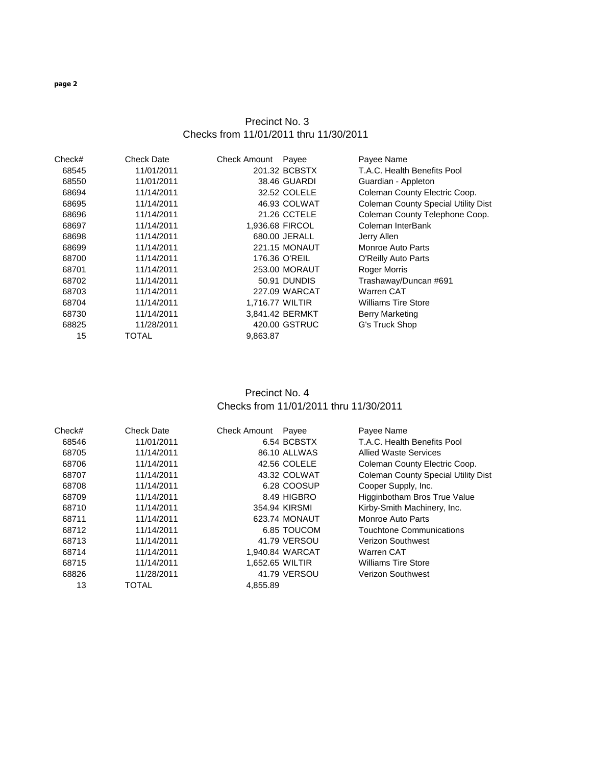## Precinct No. 3 Checks from 11/01/2011 thru 11/30/2011

| 201.32 BCBSTX<br>T.A.C. Health Benefits Pool<br>68545<br>11/01/2011<br>68550<br>11/01/2011<br>38.46 GUARDI<br>Guardian - Appleton<br>68694<br>11/14/2011<br>32.52 COLELE<br>Coleman County Electric Coop.<br>46.93 COLWAT<br>68695<br>11/14/2011<br><b>Coleman County Special Utility Dist</b><br>Coleman County Telephone Coop.<br>11/14/2011<br>21.26 CCTELE<br>68696<br>68697<br>11/14/2011<br>1,936.68 FIRCOL<br>Coleman InterBank<br>680.00 JERALL<br>68698<br>11/14/2011<br>Jerry Allen<br>68699<br>11/14/2011<br><b>221.15 MONAUT</b><br>Monroe Auto Parts<br>68700<br>11/14/2011<br>176.36 O'REIL<br>O'Reilly Auto Parts<br>253.00 MORAUT<br>11/14/2011<br><b>Roger Morris</b><br>68701<br>Trashaway/Duncan #691<br>11/14/2011<br>50.91 DUNDIS<br>68702<br>11/14/2011<br>227.09 WARCAT<br>Warren CAT<br>68703<br>1,716.77 WILTIR<br><b>Williams Tire Store</b><br>68704<br>11/14/2011<br>11/14/2011<br>3,841.42 BERMKT<br>68730<br><b>Berry Marketing</b><br>420.00 GSTRUC<br>68825<br>11/28/2011<br>G's Truck Shop<br><b>TOTAL</b><br>15<br>9,863.87 | Check# | <b>Check Date</b> | <b>Check Amount</b> | Payee | Payee Name |
|---------------------------------------------------------------------------------------------------------------------------------------------------------------------------------------------------------------------------------------------------------------------------------------------------------------------------------------------------------------------------------------------------------------------------------------------------------------------------------------------------------------------------------------------------------------------------------------------------------------------------------------------------------------------------------------------------------------------------------------------------------------------------------------------------------------------------------------------------------------------------------------------------------------------------------------------------------------------------------------------------------------------------------------------------------------|--------|-------------------|---------------------|-------|------------|
|                                                                                                                                                                                                                                                                                                                                                                                                                                                                                                                                                                                                                                                                                                                                                                                                                                                                                                                                                                                                                                                               |        |                   |                     |       |            |
|                                                                                                                                                                                                                                                                                                                                                                                                                                                                                                                                                                                                                                                                                                                                                                                                                                                                                                                                                                                                                                                               |        |                   |                     |       |            |
|                                                                                                                                                                                                                                                                                                                                                                                                                                                                                                                                                                                                                                                                                                                                                                                                                                                                                                                                                                                                                                                               |        |                   |                     |       |            |
|                                                                                                                                                                                                                                                                                                                                                                                                                                                                                                                                                                                                                                                                                                                                                                                                                                                                                                                                                                                                                                                               |        |                   |                     |       |            |
|                                                                                                                                                                                                                                                                                                                                                                                                                                                                                                                                                                                                                                                                                                                                                                                                                                                                                                                                                                                                                                                               |        |                   |                     |       |            |
|                                                                                                                                                                                                                                                                                                                                                                                                                                                                                                                                                                                                                                                                                                                                                                                                                                                                                                                                                                                                                                                               |        |                   |                     |       |            |
|                                                                                                                                                                                                                                                                                                                                                                                                                                                                                                                                                                                                                                                                                                                                                                                                                                                                                                                                                                                                                                                               |        |                   |                     |       |            |
|                                                                                                                                                                                                                                                                                                                                                                                                                                                                                                                                                                                                                                                                                                                                                                                                                                                                                                                                                                                                                                                               |        |                   |                     |       |            |
|                                                                                                                                                                                                                                                                                                                                                                                                                                                                                                                                                                                                                                                                                                                                                                                                                                                                                                                                                                                                                                                               |        |                   |                     |       |            |
|                                                                                                                                                                                                                                                                                                                                                                                                                                                                                                                                                                                                                                                                                                                                                                                                                                                                                                                                                                                                                                                               |        |                   |                     |       |            |
|                                                                                                                                                                                                                                                                                                                                                                                                                                                                                                                                                                                                                                                                                                                                                                                                                                                                                                                                                                                                                                                               |        |                   |                     |       |            |
|                                                                                                                                                                                                                                                                                                                                                                                                                                                                                                                                                                                                                                                                                                                                                                                                                                                                                                                                                                                                                                                               |        |                   |                     |       |            |
|                                                                                                                                                                                                                                                                                                                                                                                                                                                                                                                                                                                                                                                                                                                                                                                                                                                                                                                                                                                                                                                               |        |                   |                     |       |            |
|                                                                                                                                                                                                                                                                                                                                                                                                                                                                                                                                                                                                                                                                                                                                                                                                                                                                                                                                                                                                                                                               |        |                   |                     |       |            |
|                                                                                                                                                                                                                                                                                                                                                                                                                                                                                                                                                                                                                                                                                                                                                                                                                                                                                                                                                                                                                                                               |        |                   |                     |       |            |
|                                                                                                                                                                                                                                                                                                                                                                                                                                                                                                                                                                                                                                                                                                                                                                                                                                                                                                                                                                                                                                                               |        |                   |                     |       |            |

### Precinct No. 4 Checks from 11/01/2011 thru 11/30/2011

| Check# | <b>Check Date</b> | <b>Check Amount</b> | Payee           | Payee Name                                 |
|--------|-------------------|---------------------|-----------------|--------------------------------------------|
| 68546  | 11/01/2011        |                     | 6.54 BCBSTX     | T.A.C. Health Benefits Pool                |
| 68705  | 11/14/2011        |                     | 86.10 ALLWAS    | <b>Allied Waste Services</b>               |
| 68706  | 11/14/2011        |                     | 42.56 COLELE    | Coleman County Electric Coop.              |
| 68707  | 11/14/2011        |                     | 43.32 COLWAT    | <b>Coleman County Special Utility Dist</b> |
| 68708  | 11/14/2011        |                     | 6.28 COOSUP     | Cooper Supply, Inc.                        |
| 68709  | 11/14/2011        |                     | 8.49 HIGBRO     | Higginbotham Bros True Value               |
| 68710  | 11/14/2011        |                     | 354.94 KIRSMI   | Kirby-Smith Machinery, Inc.                |
| 68711  | 11/14/2011        |                     | 623.74 MONAUT   | Monroe Auto Parts                          |
| 68712  | 11/14/2011        |                     | 6.85 TOUCOM     | <b>Touchtone Communications</b>            |
| 68713  | 11/14/2011        |                     | 41.79 VERSOU    | <b>Verizon Southwest</b>                   |
| 68714  | 11/14/2011        |                     | 1.940.84 WARCAT | Warren CAT                                 |
| 68715  | 11/14/2011        | 1.652.65 WILTIR     |                 | <b>Williams Tire Store</b>                 |
| 68826  | 11/28/2011        |                     | 41.79 VERSOU    | <b>Verizon Southwest</b>                   |
| 13     | <b>TOTAL</b>      | 4.855.89            |                 |                                            |

**page 2**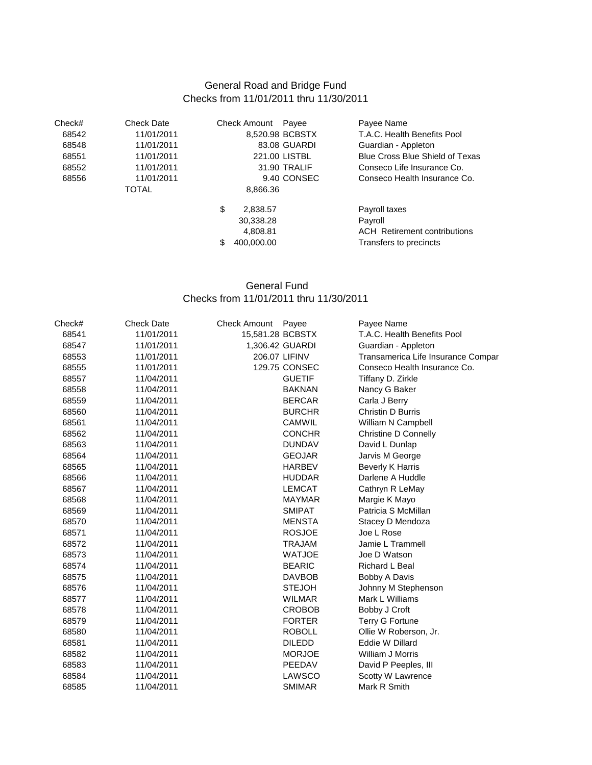## General Road and Bridge Fund Checks from 11/01/2011 thru 11/30/2011

| Check# | Check Date | Check Amount    | Payee        | Payee Name                             |
|--------|------------|-----------------|--------------|----------------------------------------|
| 68542  | 11/01/2011 | 8,520.98 BCBSTX |              | T.A.C. Health Benefits Pool            |
| 68548  | 11/01/2011 |                 | 83.08 GUARDI | Guardian - Appleton                    |
| 68551  | 11/01/2011 | 221.00 LISTBL   |              | <b>Blue Cross Blue Shield of Texas</b> |
| 68552  | 11/01/2011 | 31.90 TRALIF    |              | Conseco Life Insurance Co.             |
| 68556  | 11/01/2011 |                 | 9.40 CONSEC  | Conseco Health Insurance Co.           |
|        | TOTAL      | 8,866.36        |              |                                        |
|        |            | \$<br>2,838.57  |              | Payroll taxes                          |
|        |            | 30,338.28       |              | Payroll                                |
|        |            | 4,808.81        |              | <b>ACH</b> Retirement contributions    |
|        |            | 400,000.00<br>S |              | Transfers to precincts                 |

## General Fund Checks from 11/01/2011 thru 11/30/2011

| Check# | <b>Check Date</b> | <b>Check Amount</b><br>Payee | Payee Name                         |
|--------|-------------------|------------------------------|------------------------------------|
| 68541  | 11/01/2011        | 15,581.28 BCBSTX             | T.A.C. Health Benefits Pool        |
| 68547  | 11/01/2011        | 1,306.42 GUARDI              | Guardian - Appleton                |
| 68553  | 11/01/2011        | 206.07 LIFINV                | Transamerica Life Insurance Compar |
| 68555  | 11/01/2011        | 129.75 CONSEC                | Conseco Health Insurance Co.       |
| 68557  | 11/04/2011        | <b>GUETIF</b>                | Tiffany D. Zirkle                  |
| 68558  | 11/04/2011        | <b>BAKNAN</b>                | Nancy G Baker                      |
| 68559  | 11/04/2011        | <b>BERCAR</b>                | Carla J Berry                      |
| 68560  | 11/04/2011        | <b>BURCHR</b>                | Christin D Burris                  |
| 68561  | 11/04/2011        | <b>CAMWIL</b>                | William N Campbell                 |
| 68562  | 11/04/2011        | <b>CONCHR</b>                | <b>Christine D Connelly</b>        |
| 68563  | 11/04/2011        | <b>DUNDAV</b>                | David L Dunlap                     |
| 68564  | 11/04/2011        | <b>GEOJAR</b>                | Jarvis M George                    |
| 68565  | 11/04/2011        | <b>HARBEV</b>                | <b>Beverly K Harris</b>            |
| 68566  | 11/04/2011        | <b>HUDDAR</b>                | Darlene A Huddle                   |
| 68567  | 11/04/2011        | <b>LEMCAT</b>                | Cathryn R LeMay                    |
| 68568  | 11/04/2011        | <b>MAYMAR</b>                | Margie K Mayo                      |
| 68569  | 11/04/2011        | <b>SMIPAT</b>                | Patricia S McMillan                |
| 68570  | 11/04/2011        | <b>MENSTA</b>                | Stacey D Mendoza                   |
| 68571  | 11/04/2011        | <b>ROSJOE</b>                | Joe L Rose                         |
| 68572  | 11/04/2011        | <b>TRAJAM</b>                | Jamie L Trammell                   |
| 68573  | 11/04/2011        | <b>WATJOE</b>                | Joe D Watson                       |
| 68574  | 11/04/2011        | <b>BEARIC</b>                | <b>Richard L Beal</b>              |
| 68575  | 11/04/2011        | <b>DAVBOB</b>                | Bobby A Davis                      |
| 68576  | 11/04/2011        | <b>STEJOH</b>                | Johnny M Stephenson                |
| 68577  | 11/04/2011        | <b>WILMAR</b>                | Mark L Williams                    |
| 68578  | 11/04/2011        | <b>CROBOB</b>                | Bobby J Croft                      |
| 68579  | 11/04/2011        | <b>FORTER</b>                | <b>Terry G Fortune</b>             |
| 68580  | 11/04/2011        | <b>ROBOLL</b>                | Ollie W Roberson, Jr.              |
| 68581  | 11/04/2011        | <b>DILEDD</b>                | <b>Eddie W Dillard</b>             |
| 68582  | 11/04/2011        | <b>MORJOE</b>                | William J Morris                   |
| 68583  | 11/04/2011        | PEEDAV                       | David P Peeples, III               |
| 68584  | 11/04/2011        | LAWSCO                       | Scotty W Lawrence                  |
| 68585  | 11/04/2011        | <b>SMIMAR</b>                | Mark R Smith                       |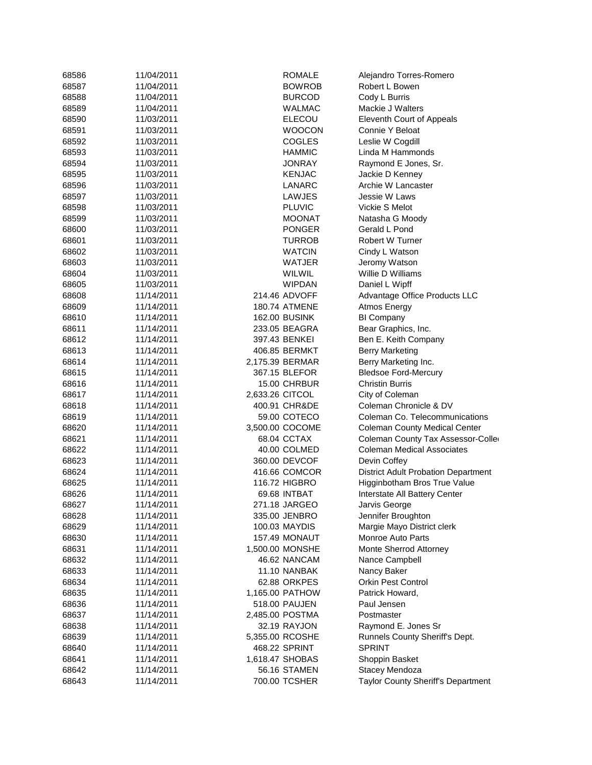| 68586 | 11/04/2011 | <b>ROMALE</b>        | Alejandro Torres-Romero                    |
|-------|------------|----------------------|--------------------------------------------|
| 68587 | 11/04/2011 | <b>BOWROB</b>        | Robert L Bowen                             |
| 68588 | 11/04/2011 | <b>BURCOD</b>        | Cody L Burris                              |
| 68589 | 11/04/2011 | WALMAC               | Mackie J Walters                           |
| 68590 | 11/03/2011 | <b>ELECOU</b>        | Eleventh Court of Appeals                  |
| 68591 | 11/03/2011 | <b>WOOCON</b>        | Connie Y Beloat                            |
| 68592 | 11/03/2011 | <b>COGLES</b>        | Leslie W Cogdill                           |
| 68593 | 11/03/2011 | HAMMIC               | Linda M Hammonds                           |
| 68594 | 11/03/2011 | JONRAY               | Raymond E Jones, Sr.                       |
| 68595 | 11/03/2011 | <b>KENJAC</b>        | Jackie D Kenney                            |
| 68596 | 11/03/2011 | LANARC               | Archie W Lancaster                         |
| 68597 | 11/03/2011 | LAWJES               | Jessie W Laws                              |
| 68598 | 11/03/2011 | <b>PLUVIC</b>        | Vickie S Melot                             |
| 68599 | 11/03/2011 | MOONAT               | Natasha G Moody                            |
| 68600 | 11/03/2011 | <b>PONGER</b>        | Gerald L Pond                              |
| 68601 | 11/03/2011 | TURROB               | <b>Robert W Turner</b>                     |
| 68602 | 11/03/2011 | <b>WATCIN</b>        | Cindy L Watson                             |
| 68603 | 11/03/2011 | WATJER               | Jeromy Watson                              |
| 68604 | 11/03/2011 | WILWIL               | Willie D Williams                          |
| 68605 | 11/03/2011 | <b>WIPDAN</b>        | Daniel L Wipff                             |
| 68608 | 11/14/2011 | 214.46 ADVOFF        | Advantage Office Products LLC              |
| 68609 | 11/14/2011 | <b>180.74 ATMENE</b> |                                            |
| 68610 | 11/14/2011 | 162.00 BUSINK        | Atmos Energy<br><b>BI Company</b>          |
| 68611 | 11/14/2011 | 233.05 BEAGRA        |                                            |
|       |            |                      | Bear Graphics, Inc.                        |
| 68612 | 11/14/2011 | 397.43 BENKEI        | Ben E. Keith Company                       |
| 68613 | 11/14/2011 | 406.85 BERMKT        | <b>Berry Marketing</b>                     |
| 68614 | 11/14/2011 | 2,175.39 BERMAR      | Berry Marketing Inc.                       |
| 68615 | 11/14/2011 | 367.15 BLEFOR        | <b>Bledsoe Ford-Mercury</b>                |
| 68616 | 11/14/2011 | 15.00 CHRBUR         | <b>Christin Burris</b>                     |
| 68617 | 11/14/2011 | 2,633.26 CITCOL      | City of Coleman                            |
| 68618 | 11/14/2011 | 400.91 CHR&DE        | Coleman Chronicle & DV                     |
| 68619 | 11/14/2011 | 59.00 COTECO         | Coleman Co. Telecommunications             |
| 68620 | 11/14/2011 | 3,500.00 COCOME      | <b>Coleman County Medical Center</b>       |
| 68621 | 11/14/2011 | 68.04 CCTAX          | Coleman County Tax Assessor-Colle          |
| 68622 | 11/14/2011 | 40.00 COLMED         | <b>Coleman Medical Associates</b>          |
| 68623 | 11/14/2011 | 360.00 DEVCOF        | Devin Coffey                               |
| 68624 | 11/14/2011 | 416.66 COMCOR        | <b>District Adult Probation Department</b> |
| 68625 | 11/14/2011 | 116.72 HIGBRO        | Higginbotham Bros True Value               |
| 68626 | 11/14/2011 | 69.68 INTBAT         | Interstate All Battery Center              |
| 68627 | 11/14/2011 | 271.18 JARGEO        | Jarvis George                              |
| 68628 | 11/14/2011 | 335.00 JENBRO        | Jennifer Broughton                         |
| 68629 | 11/14/2011 | 100.03 MAYDIS        | Margie Mayo District clerk                 |
| 68630 | 11/14/2011 | <b>157.49 MONAUT</b> | <b>Monroe Auto Parts</b>                   |
| 68631 | 11/14/2011 | 1,500.00 MONSHE      | Monte Sherrod Attorney                     |
| 68632 | 11/14/2011 | 46.62 NANCAM         | Nance Campbell                             |
| 68633 | 11/14/2011 | 11.10 NANBAK         | Nancy Baker                                |
| 68634 | 11/14/2011 | 62.88 ORKPES         | <b>Orkin Pest Control</b>                  |
| 68635 | 11/14/2011 | 1,165.00 PATHOW      | Patrick Howard,                            |
| 68636 | 11/14/2011 | 518.00 PAUJEN        | Paul Jensen                                |
| 68637 | 11/14/2011 | 2,485.00 POSTMA      | Postmaster                                 |
| 68638 | 11/14/2011 | 32.19 RAYJON         | Raymond E. Jones Sr                        |
| 68639 | 11/14/2011 | 5,355.00 RCOSHE      | Runnels County Sheriff's Dept.             |
| 68640 | 11/14/2011 | 468.22 SPRINT        | <b>SPRINT</b>                              |
| 68641 | 11/14/2011 | 1,618.47 SHOBAS      | Shoppin Basket                             |
| 68642 | 11/14/2011 | 56.16 STAMEN         | Stacey Mendoza                             |
| 68643 | 11/14/2011 | 700.00 TCSHER        | Taylor County Sheriff's Department         |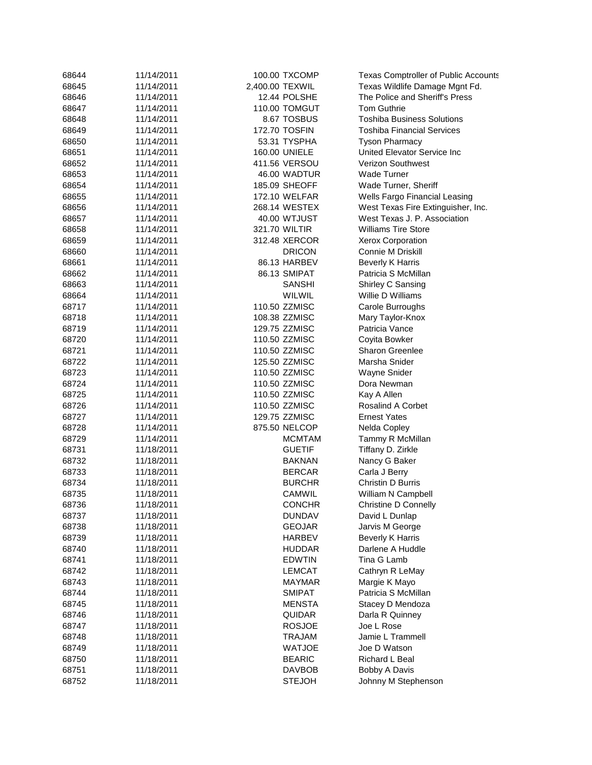| 68644 | 11/14/2011 |                 | 100.00 TXCOMP        | <b>Texas Comptroller of Public Accounts</b> |
|-------|------------|-----------------|----------------------|---------------------------------------------|
| 68645 | 11/14/2011 | 2,400.00 TEXWIL |                      | Texas Wildlife Damage Mgnt Fd.              |
| 68646 | 11/14/2011 |                 | 12.44 POLSHE         | The Police and Sheriff's Press              |
| 68647 | 11/14/2011 |                 | 110.00 TOMGUT        | <b>Tom Guthrie</b>                          |
| 68648 | 11/14/2011 |                 | 8.67 TOSBUS          | <b>Toshiba Business Solutions</b>           |
| 68649 | 11/14/2011 |                 | 172.70 TOSFIN        | <b>Toshiba Financial Services</b>           |
| 68650 | 11/14/2011 |                 | 53.31 TYSPHA         | <b>Tyson Pharmacy</b>                       |
| 68651 | 11/14/2011 |                 | 160.00 UNIELE        | United Elevator Service Inc                 |
| 68652 | 11/14/2011 |                 | 411.56 VERSOU        | <b>Verizon Southwest</b>                    |
| 68653 | 11/14/2011 |                 | 46.00 WADTUR         | <b>Wade Turner</b>                          |
| 68654 | 11/14/2011 |                 | 185.09 SHEOFF        | Wade Turner, Sheriff                        |
| 68655 | 11/14/2011 |                 | <b>172.10 WELFAR</b> | Wells Fargo Financial Leasing               |
| 68656 | 11/14/2011 |                 | 268.14 WESTEX        | West Texas Fire Extinguisher, Inc.          |
| 68657 | 11/14/2011 |                 | 40.00 WTJUST         | West Texas J. P. Association                |
| 68658 | 11/14/2011 |                 | 321.70 WILTIR        | <b>Williams Tire Store</b>                  |
| 68659 | 11/14/2011 |                 | 312.48 XERCOR        | <b>Xerox Corporation</b>                    |
| 68660 | 11/14/2011 |                 | <b>DRICON</b>        | Connie M Driskill                           |
| 68661 | 11/14/2011 |                 | 86.13 HARBEV         | <b>Beverly K Harris</b>                     |
| 68662 | 11/14/2011 |                 | 86.13 SMIPAT         | Patricia S McMillan                         |
| 68663 | 11/14/2011 |                 | <b>SANSHI</b>        | Shirley C Sansing                           |
| 68664 | 11/14/2011 |                 | WILWIL               | Willie D Williams                           |
| 68717 | 11/14/2011 |                 | 110.50 ZZMISC        | Carole Burroughs                            |
| 68718 | 11/14/2011 |                 | 108.38 ZZMISC        | Mary Taylor-Knox                            |
| 68719 | 11/14/2011 |                 | 129.75 ZZMISC        | Patricia Vance                              |
| 68720 | 11/14/2011 |                 | 110.50 ZZMISC        | Coyita Bowker                               |
| 68721 | 11/14/2011 |                 | 110.50 ZZMISC        | <b>Sharon Greenlee</b>                      |
| 68722 | 11/14/2011 |                 | 125.50 ZZMISC        | Marsha Snider                               |
| 68723 | 11/14/2011 |                 | 110.50 ZZMISC        | Wayne Snider                                |
| 68724 | 11/14/2011 |                 | 110.50 ZZMISC        | Dora Newman                                 |
| 68725 | 11/14/2011 |                 | 110.50 ZZMISC        | Kay A Allen                                 |
| 68726 | 11/14/2011 |                 | 110.50 ZZMISC        | <b>Rosalind A Corbet</b>                    |
| 68727 | 11/14/2011 |                 | 129.75 ZZMISC        | <b>Ernest Yates</b>                         |
| 68728 | 11/14/2011 |                 | 875.50 NELCOP        | Nelda Copley                                |
| 68729 | 11/14/2011 |                 | MCMTAM               | Tammy R McMillan                            |
| 68731 | 11/18/2011 |                 | <b>GUETIF</b>        | Tiffany D. Zirkle                           |
| 68732 | 11/18/2011 |                 | <b>BAKNAN</b>        | Nancy G Baker                               |
| 68733 | 11/18/2011 |                 | <b>BERCAR</b>        | Carla J Berry                               |
| 68734 | 11/18/2011 |                 | <b>BURCHR</b>        | Christin D Burris                           |
| 68735 | 11/18/2011 |                 | CAMWIL               | William N Campbell                          |
| 68736 | 11/18/2011 |                 | <b>CONCHR</b>        | Christine D Connelly                        |
| 68737 | 11/18/2011 |                 | <b>DUNDAV</b>        | David L Dunlap                              |
| 68738 | 11/18/2011 |                 | <b>GEOJAR</b>        | Jarvis M George                             |
| 68739 | 11/18/2011 |                 | HARBEV               | <b>Beverly K Harris</b>                     |
| 68740 | 11/18/2011 |                 | <b>HUDDAR</b>        | Darlene A Huddle                            |
| 68741 | 11/18/2011 |                 | <b>EDWTIN</b>        | Tina G Lamb                                 |
| 68742 | 11/18/2011 |                 | <b>LEMCAT</b>        | Cathryn R LeMay                             |
| 68743 | 11/18/2011 |                 | MAYMAR               | Margie K Mayo                               |
| 68744 | 11/18/2011 |                 | <b>SMIPAT</b>        | Patricia S McMillan                         |
| 68745 | 11/18/2011 |                 | <b>MENSTA</b>        | Stacey D Mendoza                            |
| 68746 | 11/18/2011 |                 | QUIDAR               | Darla R Quinney                             |
| 68747 | 11/18/2011 |                 | <b>ROSJOE</b>        | Joe L Rose                                  |
| 68748 | 11/18/2011 |                 | <b>TRAJAM</b>        | Jamie L Trammell                            |
| 68749 | 11/18/2011 |                 | <b>WATJOE</b>        | Joe D Watson                                |
| 68750 | 11/18/2011 |                 | <b>BEARIC</b>        | Richard L Beal                              |
| 68751 | 11/18/2011 |                 | DAVBOB               | Bobby A Davis                               |
| 68752 | 11/18/2011 |                 | <b>STEJOH</b>        | Johnny M Stephenson                         |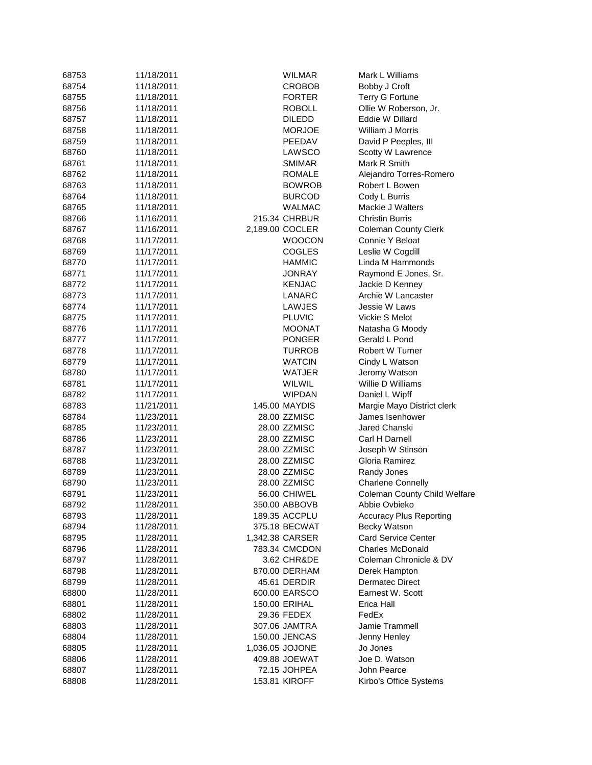| 68753 | 11/18/2011 | <b>WILMAR</b>        | Mark L Williams                    |
|-------|------------|----------------------|------------------------------------|
| 68754 | 11/18/2011 | <b>CROBOB</b>        | Bobby J Croft                      |
| 68755 | 11/18/2011 | <b>FORTER</b>        | <b>Terry G Fortune</b>             |
| 68756 | 11/18/2011 | ROBOLL               | Ollie W Roberson, Jr.              |
| 68757 | 11/18/2011 | <b>DILEDD</b>        | Eddie W Dillard                    |
| 68758 | 11/18/2011 | <b>MORJOE</b>        | William J Morris                   |
| 68759 | 11/18/2011 | PEEDAV               | David P Peeples, III               |
| 68760 | 11/18/2011 | LAWSCO               | Scotty W Lawrence                  |
| 68761 | 11/18/2011 | SMIMAR               | Mark R Smith                       |
| 68762 | 11/18/2011 | <b>ROMALE</b>        | Alejandro Torres-Romero            |
| 68763 | 11/18/2011 | <b>BOWROB</b>        | Robert L Bowen                     |
| 68764 | 11/18/2011 | <b>BURCOD</b>        | Cody L Burris                      |
| 68765 | 11/18/2011 | <b>WALMAC</b>        | Mackie J Walters                   |
| 68766 | 11/16/2011 | 215.34 CHRBUR        | <b>Christin Burris</b>             |
| 68767 | 11/16/2011 | 2,189.00 COCLER      | <b>Coleman County Clerk</b>        |
| 68768 | 11/17/2011 | <b>WOOCON</b>        | Connie Y Beloat                    |
| 68769 | 11/17/2011 | <b>COGLES</b>        | Leslie W Cogdill                   |
| 68770 | 11/17/2011 | <b>HAMMIC</b>        | Linda M Hammonds                   |
| 68771 | 11/17/2011 | JONRAY               | Raymond E Jones, Sr.               |
| 68772 | 11/17/2011 | <b>KENJAC</b>        | Jackie D Kenney                    |
| 68773 | 11/17/2011 | LANARC               | Archie W Lancaster                 |
| 68774 | 11/17/2011 | LAWJES               | Jessie W Laws                      |
| 68775 | 11/17/2011 | <b>PLUVIC</b>        | Vickie S Melot                     |
| 68776 | 11/17/2011 | <b>MOONAT</b>        | Natasha G Moody                    |
| 68777 | 11/17/2011 | <b>PONGER</b>        | Gerald L Pond                      |
| 68778 | 11/17/2011 | <b>TURROB</b>        | <b>Robert W Turner</b>             |
| 68779 | 11/17/2011 | <b>WATCIN</b>        | Cindy L Watson                     |
| 68780 | 11/17/2011 | WATJER               | Jeromy Watson                      |
| 68781 | 11/17/2011 | WILWIL               | Willie D Williams                  |
| 68782 | 11/17/2011 | <b>WIPDAN</b>        | Daniel L Wipff                     |
| 68783 | 11/21/2011 | 145.00 MAYDIS        | Margie Mayo District clerk         |
| 68784 | 11/23/2011 | 28.00 ZZMISC         | James Isenhower                    |
| 68785 | 11/23/2011 | 28.00 ZZMISC         | Jared Chanski                      |
|       |            |                      |                                    |
| 68786 | 11/23/2011 | 28.00 ZZMISC         | Carl H Darnell                     |
| 68787 | 11/23/2011 | 28.00 ZZMISC         | Joseph W Stinson<br>Gloria Ramirez |
| 68788 | 11/23/2011 | 28.00 ZZMISC         |                                    |
| 68789 | 11/23/2011 | 28.00 ZZMISC         | Randy Jones                        |
| 68790 | 11/23/2011 | 28.00 ZZMISC         | <b>Charlene Connelly</b>           |
| 68791 | 11/23/2011 | 56.00 CHIWEL         | Coleman County Child Welfare       |
| 68792 | 11/28/2011 | 350.00 ABBOVB        | Abbie Ovbieko                      |
| 68793 | 11/28/2011 | 189.35 ACCPLU        | <b>Accuracy Plus Reporting</b>     |
| 68794 | 11/28/2011 | 375.18 BECWAT        | Becky Watson                       |
| 68795 | 11/28/2011 | 1,342.38 CARSER      | <b>Card Service Center</b>         |
| 68796 | 11/28/2011 | 783.34 CMCDON        | <b>Charles McDonald</b>            |
| 68797 | 11/28/2011 | 3.62 CHR&DE          | Coleman Chronicle & DV             |
| 68798 | 11/28/2011 | 870.00 DERHAM        | Derek Hampton                      |
| 68799 | 11/28/2011 | 45.61 DERDIR         | <b>Dermatec Direct</b>             |
| 68800 | 11/28/2011 | 600.00 EARSCO        | Earnest W. Scott                   |
| 68801 | 11/28/2011 | <b>150.00 ERIHAL</b> | Erica Hall                         |
| 68802 | 11/28/2011 | 29.36 FEDEX          | FedEx                              |
| 68803 | 11/28/2011 | 307.06 JAMTRA        | Jamie Trammell                     |
| 68804 | 11/28/2011 | 150.00 JENCAS        | Jenny Henley                       |
| 68805 | 11/28/2011 | 1,036.05 JOJONE      | Jo Jones                           |
| 68806 | 11/28/2011 | 409.88 JOEWAT        | Joe D. Watson                      |
| 68807 | 11/28/2011 | 72.15 JOHPEA         | John Pearce                        |
| 68808 | 11/28/2011 | 153.81 KIROFF        | Kirbo's Office Systems             |